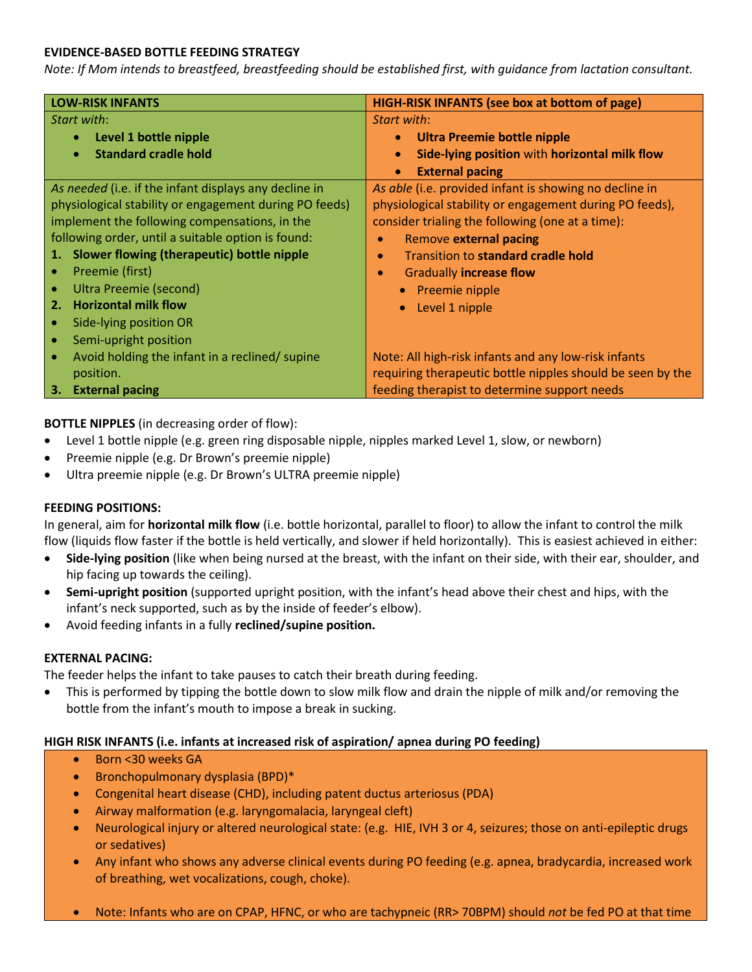### **EVIDENCE-BASED BOTTLE FEEDING STRATEGY**

*Note: If Mom intends to breastfeed, breastfeeding should be established first, with guidance from lactation consultant.*

| <b>LOW-RISK INFANTS</b>                                |                                                       | <b>HIGH-RISK INFANTS (see box at bottom of page)</b>       |
|--------------------------------------------------------|-------------------------------------------------------|------------------------------------------------------------|
| Start with:                                            |                                                       | Start with:                                                |
| ٠                                                      | Level 1 bottle nipple                                 | Ultra Preemie bottle nipple<br>$\bullet$                   |
| $\bullet$                                              | <b>Standard cradle hold</b>                           | Side-lying position with horizontal milk flow<br>$\bullet$ |
|                                                        |                                                       | <b>External pacing</b><br>$\bullet$                        |
|                                                        | As needed (i.e. if the infant displays any decline in | As able (i.e. provided infant is showing no decline in     |
| physiological stability or engagement during PO feeds) |                                                       | physiological stability or engagement during PO feeds),    |
| implement the following compensations, in the          |                                                       | consider trialing the following (one at a time):           |
| following order, until a suitable option is found:     |                                                       | Remove external pacing                                     |
| 1.                                                     | Slower flowing (therapeutic) bottle nipple            | Transition to standard cradle hold<br>$\bullet$            |
|                                                        | Preemie (first)                                       | <b>Gradually increase flow</b><br>$\bullet$                |
| $\bullet$                                              | Ultra Preemie (second)                                | • Preemie nipple                                           |
| 2.                                                     | <b>Horizontal milk flow</b>                           | Level 1 nipple                                             |
| $\bullet$                                              | Side-lying position OR                                |                                                            |
| ٠                                                      | Semi-upright position                                 |                                                            |
|                                                        | Avoid holding the infant in a reclined/ supine        | Note: All high-risk infants and any low-risk infants       |
|                                                        | position.                                             | requiring therapeutic bottle nipples should be seen by the |
|                                                        | 3. External pacing                                    | feeding therapist to determine support needs               |

**BOTTLE NIPPLES** (in decreasing order of flow):

- Level 1 bottle nipple (e.g. green ring disposable nipple, nipples marked Level 1, slow, or newborn)
- Preemie nipple (e.g. Dr Brown's preemie nipple)
- Ultra preemie nipple (e.g. Dr Brown's ULTRA preemie nipple)

### **FEEDING POSITIONS:**

In general, aim for **horizontal milk flow** (i.e. bottle horizontal, parallel to floor) to allow the infant to control the milk flow (liquids flow faster if the bottle is held vertically, and slower if held horizontally). This is easiest achieved in either:

- **Side-lying position** (like when being nursed at the breast, with the infant on their side, with their ear, shoulder, and hip facing up towards the ceiling).
- **Semi-upright position** (supported upright position, with the infant's head above their chest and hips, with the infant's neck supported, such as by the inside of feeder's elbow).
- Avoid feeding infants in a fully **reclined/supine position.**

### **EXTERNAL PACING:**

The feeder helps the infant to take pauses to catch their breath during feeding.

• This is performed by tipping the bottle down to slow milk flow and drain the nipple of milk and/or removing the bottle from the infant's mouth to impose a break in sucking.

### **HIGH RISK INFANTS (i.e. infants at increased risk of aspiration/ apnea during PO feeding)**

- Born <30 weeks GA
- Bronchopulmonary dysplasia (BPD)\*
- Congenital heart disease (CHD), including patent ductus arteriosus (PDA)
- Airway malformation (e.g. laryngomalacia, laryngeal cleft)
- Neurological injury or altered neurological state: (e.g. HIE, IVH 3 or 4, seizures; those on anti-epileptic drugs or sedatives)
- Any infant who shows any adverse clinical events during PO feeding (e.g. apnea, bradycardia, increased work of breathing, wet vocalizations, cough, choke).
- Note: Infants who are on CPAP, HFNC, or who are tachypneic (RR> 70BPM) should *not* be fed PO at that time